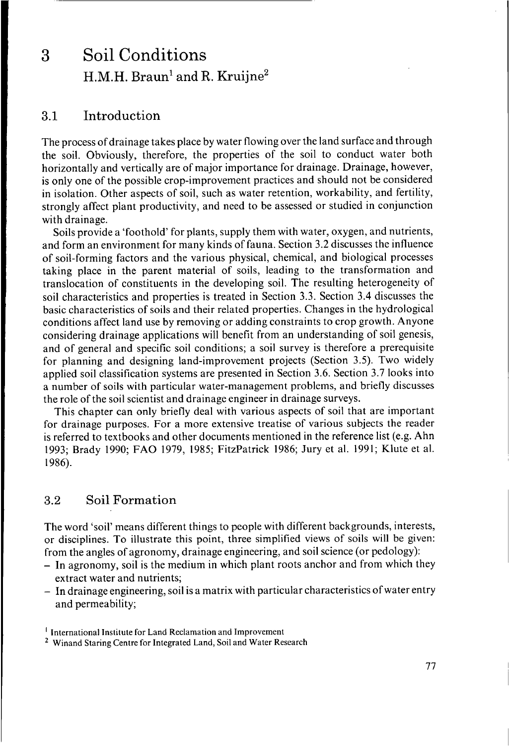# <sup>I</sup>**3** SoilConditions  $H.M.H.$  Braun<sup>1</sup> and R. Kruijne<sup>2</sup>

# **3.1** Introduction

The process of drainage takes place by water flowing over the land surface and through the soil. Obviously, therefore, the properties of the soil to conduct water both horizontally and vertically are of major importance for drainage. Drainage, however, is only one of the possible crop-improvement practices and should not be considered in isolation. Other aspects of soil, such as water retention, workability, and fertility, strongly affect plant productivity, and need to be assessed or studied in conjunction with drainage.

Soils provide a 'foothold' for plants, supply them with water, oxygen, and nutrients, and form an environment for many kinds of fauna. Section 3.2 discusses the influence of soil-forming factors and the various physical, chemical, and biological processes taking place in the parent material of soils, leading to the transformation and translocation of constituents in the developing soil. The resulting heterogeneity of soil characteristics and properties is treated in Section 3.3. Section 3.4 discusses the basic characteristics of soils and their related properties. Changes in the hydrological conditions affect land use by removing or adding constraints to crop growth. Anyone considering drainage applications will benefit from an understanding of soil genesis, and of general and specific soil conditions; a soil survey is therefore a prerequisite for planning and designing land-improvement projects (Section 3.5). Two widely applied soil classification systems are presented in Section 3.6. Section 3.7 looks into a number of soils with particular water-management problems, and briefly discusses the role of the soil scientist and drainage engineer in drainage surveys.

This chapter can only briefly deal with various aspects of soil that are important for drainage purposes. For a more extensive treatise of various subjects the reader is referred to textbooks and other documents mentioned in the reference list (e.g. Ahn 1993; Brady 1990; FAO 1979, 1985; FitzPatrick 1986; Jury et al. 1991; Klute et al. 1986).

# **3.2** Soil Formation

The word 'soil' means different things to people with different backgrounds, interests, or disciplines. To illustrate this point, three simplified views of soils will be given: from the angles of agronomy, drainage engineering, and soil science (or pedology):

- In agronomy, soil is the medium in which plant roots anchor and from which they extract water and nutrients;
- In drainage engineering, soil is a matrix with particular characteristics of water entry and permeability;

<sup>&</sup>lt;sup>1</sup> International Institute for Land Reclamation and Improvement<br><sup>2</sup> Winand Staring Centre for Integrated Land, Soil and Water Research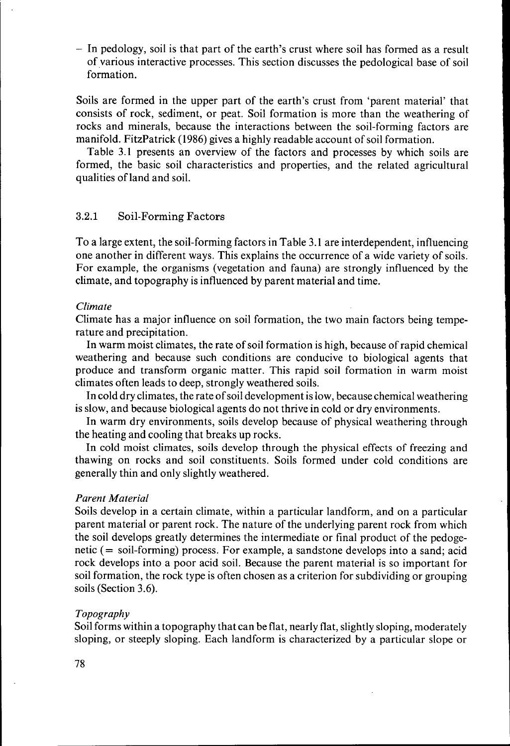- In pedology, soil is that part of the earth's crust where soil has formed as a result of various interactive processes. This section discusses the pedological base of soil formation.

Soils are formed in the upper part of the earth's crust from 'parent material' that consists of rock, sediment, or peat. Soil formation is more than the weathering of rocks and minerals, because the interactions between the soil-forming factors are manifold. FitzPatrick **(1986)** gives a highly readable account of soil formation.

Table **3.1** presents an overview of the factors and processes by which soils are formed, the basic soil characteristics and properties, and the related agricultural qualities of land and soil.

# **3.2.1** Soil-Forming Factors

To a large extent, the soil-forming factors in Table **3.1** are interdependent, influencing one another in different ways. This explains the occurrence of a wide variety of soils. For example, the organisms (vegetation and fauna) are strongly influenced by the climate, and topography is influenced by parent material and time.

#### *Climate*

Climate has a major influence on soil formation, the two main factors being temperature and precipitation.

In warm moist climates, the rate of soil formation is high, because of rapid chemical weathering and because such conditions are conducive to biological agents that produce and transform organic matter. This rapid soil formation in warm moist climates often leads to deep, strongly weathered soils.

In cold dry climates, the rate of soil development is low, because chemical weathering is slow, and because biological agents do not thrive in cold or dry environments.

In warm dry environments, soils develop because of physical weathering through the heating and cooling that breaks **up** rocks.

In cold moist climates, soils develop through the physical effects of freezing and thawing on rocks and soil constituents. Soils formed under cold conditions are generally thin and only slightly weathered.

# *Parent Material*

Soils develop in a certain climate, within a particular landform, and on a particular parent material or parent rock. The nature of the underlying parent rock from which the soil develops greatly determines the intermediate or final product of the pedogenetic (= soil-forming) process. For example, a sandstone develops into a sand; acid rock develops into a poor acid soil. Because the parent material is so important for soil formation, the rock type is often chosen as a criterion for subdividing or grouping soils (Section **3.6).** 

#### *Topography*

Soil forms within a topography that can be flat, nearly flat, slightly sloping, moderately sloping, or steeply sloping. Each landform is characterized by a particular slope or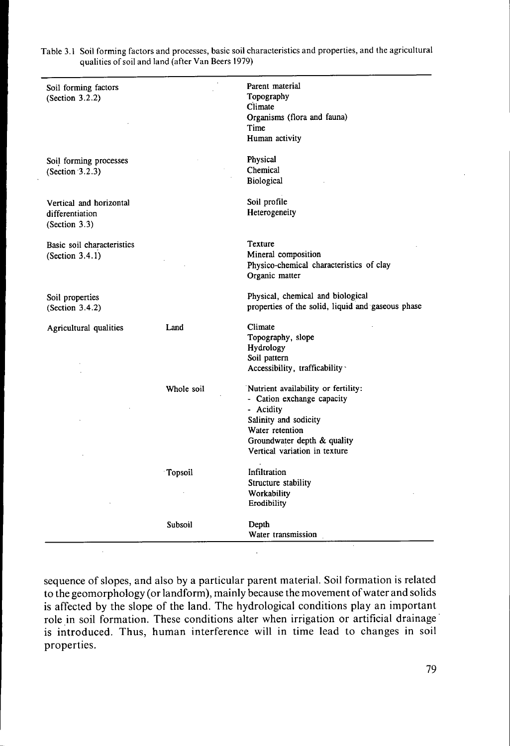| quanties of soil and land (after vall beets 1979)           |            |                                                                                                                                                                                            |
|-------------------------------------------------------------|------------|--------------------------------------------------------------------------------------------------------------------------------------------------------------------------------------------|
| Soil forming factors<br>(Section 3.2.2)                     |            | Parent material<br>Topography<br>Climate<br>Organisms (flora and fauna)<br>Time<br>Human activity                                                                                          |
| Soil forming processes<br>(Section $3.2.3$ )                |            | Physical<br>Chemical<br>Biological                                                                                                                                                         |
| Vertical and horizontal<br>differentiation<br>(Section 3.3) |            | Soil profile<br>Heterogeneity                                                                                                                                                              |
| Basic soil characteristics<br>(Section 3.4.1)               |            | Texture<br>Mineral composition<br>Physico-chemical characteristics of clay<br>Organic matter                                                                                               |
| Soil properties<br>(Section 3.4.2)                          |            | Physical, chemical and biological<br>properties of the solid, liquid and gaseous phase                                                                                                     |
| Agricultural qualities                                      | Land       | Climate<br>Topography, slope<br>Hydrology<br>Soil pattern<br>Accessibility, trafficability ·                                                                                               |
|                                                             | Whole soil | Nutrient availability or fertility:<br>- Cation exchange capacity<br>- Acidity<br>Salinity and sodicity<br>Water retention<br>Groundwater depth & quality<br>Vertical variation in texture |
|                                                             | Topsoil    | Infiltration<br>Structure stability<br>Workability<br>Erodibility                                                                                                                          |
|                                                             | Subsoil    | Depth<br>Water transmission                                                                                                                                                                |

Table 3.1 Soil forming factors and processes, basic soil characteristics and properties, and the agricultural qualities of soil and land (after Van Beers 1979)

sequence of slopes, and also by a particular parent material. Soil formation is related to the geomorphology (or landform), mainly because the movement of water and solids is affected by the slope of the land. The hydrological conditions play an important role in soil formation. These conditions alter when irrigation or artificial drainage is introduced. Thus, human interference will in time lead to changes in soil properties.